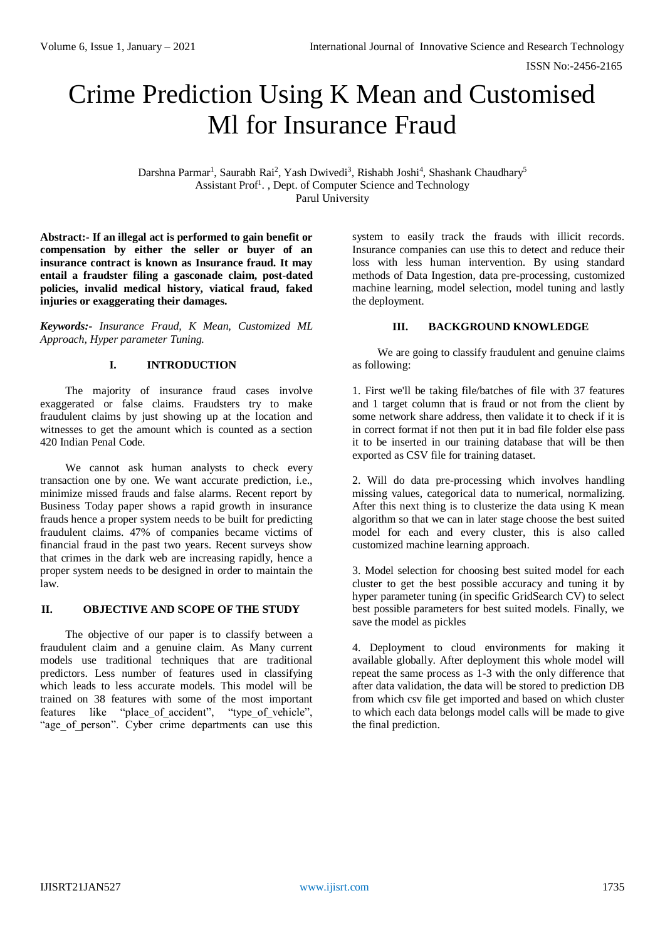ISSN No:-2456-2165

# Crime Prediction Using K Mean and Customised Ml for Insurance Fraud

Darshna Parmar<sup>1</sup>, Saurabh Rai<sup>2</sup>, Yash Dwivedi<sup>3</sup>, Rishabh Joshi<sup>4</sup>, Shashank Chaudhary<sup>5</sup> Assistant Prof<sup>1</sup>., Dept. of Computer Science and Technology Parul University

**Abstract:- If an illegal act is performed to gain benefit or compensation by either the seller or buyer of an insurance contract is known as Insurance fraud. It may entail a fraudster filing a gasconade claim, post-dated policies, invalid medical history, viatical fraud, faked injuries or exaggerating their damages.**

*Keywords:- Insurance Fraud, K Mean, Customized ML Approach, Hyper parameter Tuning.*

## **I. INTRODUCTION**

The majority of insurance fraud cases involve exaggerated or false claims. Fraudsters try to make fraudulent claims by just showing up at the location and witnesses to get the amount which is counted as a section 420 Indian Penal Code.

We cannot ask human analysts to check every transaction one by one. We want accurate prediction, i.e., minimize missed frauds and false alarms. Recent report by Business Today paper shows a rapid growth in insurance frauds hence a proper system needs to be built for predicting fraudulent claims. 47% of companies became victims of financial fraud in the past two years. Recent surveys show that crimes in the dark web are increasing rapidly, hence a proper system needs to be designed in order to maintain the law.

# **II. OBJECTIVE AND SCOPE OF THE STUDY**

The objective of our paper is to classify between a fraudulent claim and a genuine claim. As Many current models use traditional techniques that are traditional predictors. Less number of features used in classifying which leads to less accurate models. This model will be trained on 38 features with some of the most important features like "place of accident", "type of vehicle", "age of person". Cyber crime departments can use this

system to easily track the frauds with illicit records. Insurance companies can use this to detect and reduce their loss with less human intervention. By using standard methods of Data Ingestion, data pre-processing, customized machine learning, model selection, model tuning and lastly the deployment.

## **III. BACKGROUND KNOWLEDGE**

We are going to classify fraudulent and genuine claims as following:

1. First we'll be taking file/batches of file with 37 features and 1 target column that is fraud or not from the client by some network share address, then validate it to check if it is in correct format if not then put it in bad file folder else pass it to be inserted in our training database that will be then exported as CSV file for training dataset.

2. Will do data pre-processing which involves handling missing values, categorical data to numerical, normalizing. After this next thing is to clusterize the data using K mean algorithm so that we can in later stage choose the best suited model for each and every cluster, this is also called customized machine learning approach.

3. Model selection for choosing best suited model for each cluster to get the best possible accuracy and tuning it by hyper parameter tuning (in specific GridSearch CV) to select best possible parameters for best suited models. Finally, we save the model as pickles

4. Deployment to cloud environments for making it available globally. After deployment this whole model will repeat the same process as 1-3 with the only difference that after data validation, the data will be stored to prediction DB from which csv file get imported and based on which cluster to which each data belongs model calls will be made to give the final prediction.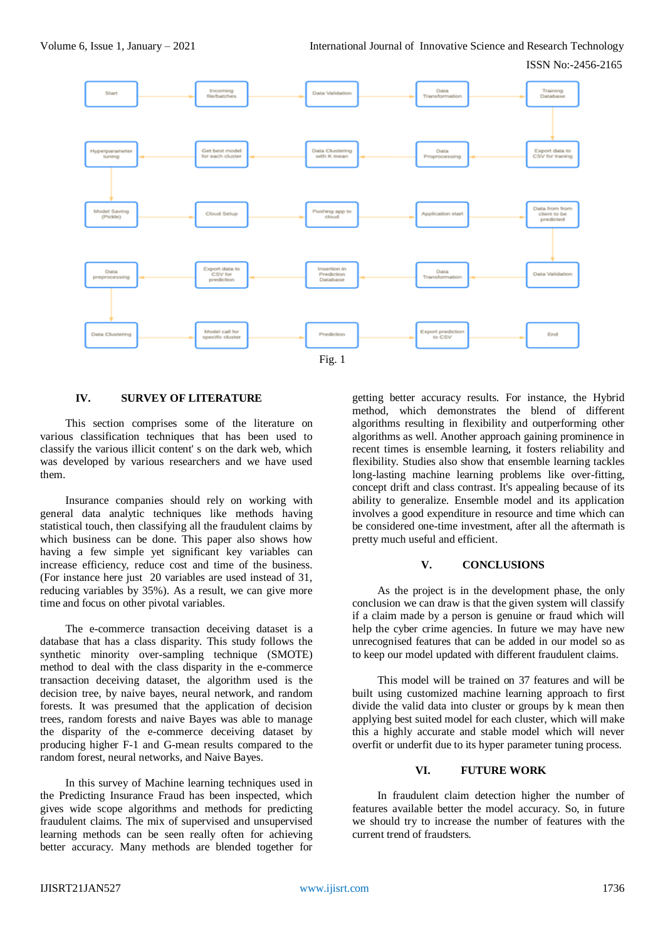ISSN No:-2456-2165



### **IV. SURVEY OF LITERATURE**

This section comprises some of the literature on various classification techniques that has been used to classify the various illicit content' s on the dark web, which was developed by various researchers and we have used them.

Insurance companies should rely on working with general data analytic techniques like methods having statistical touch, then classifying all the fraudulent claims by which business can be done. This paper also shows how having a few simple yet significant key variables can increase efficiency, reduce cost and time of the business. (For instance here just 20 variables are used instead of 31, reducing variables by 35%). As a result, we can give more time and focus on other pivotal variables.

The e-commerce transaction deceiving dataset is a database that has a class disparity. This study follows the synthetic minority over-sampling technique (SMOTE) method to deal with the class disparity in the e-commerce transaction deceiving dataset, the algorithm used is the decision tree, by naive bayes, neural network, and random forests. It was presumed that the application of decision trees, random forests and naive Bayes was able to manage the disparity of the e-commerce deceiving dataset by producing higher F-1 and G-mean results compared to the random forest, neural networks, and Naive Bayes.

In this survey of Machine learning techniques used in the Predicting Insurance Fraud has been inspected, which gives wide scope algorithms and methods for predicting fraudulent claims. The mix of supervised and unsupervised learning methods can be seen really often for achieving better accuracy. Many methods are blended together for

getting better accuracy results. For instance, the Hybrid method, which demonstrates the blend of different algorithms resulting in flexibility and outperforming other algorithms as well. Another approach gaining prominence in recent times is ensemble learning, it fosters reliability and flexibility. Studies also show that ensemble learning tackles long-lasting machine learning problems like over-fitting, concept drift and class contrast. It's appealing because of its ability to generalize. Ensemble model and its application involves a good expenditure in resource and time which can be considered one-time investment, after all the aftermath is pretty much useful and efficient.

#### **V. CONCLUSIONS**

As the project is in the development phase, the only conclusion we can draw is that the given system will classify if a claim made by a person is genuine or fraud which will help the cyber crime agencies. In future we may have new unrecognised features that can be added in our model so as to keep our model updated with different fraudulent claims.

This model will be trained on 37 features and will be built using customized machine learning approach to first divide the valid data into cluster or groups by k mean then applying best suited model for each cluster, which will make this a highly accurate and stable model which will never overfit or underfit due to its hyper parameter tuning process.

## **VI. FUTURE WORK**

In fraudulent claim detection higher the number of features available better the model accuracy. So, in future we should try to increase the number of features with the current trend of fraudsters.